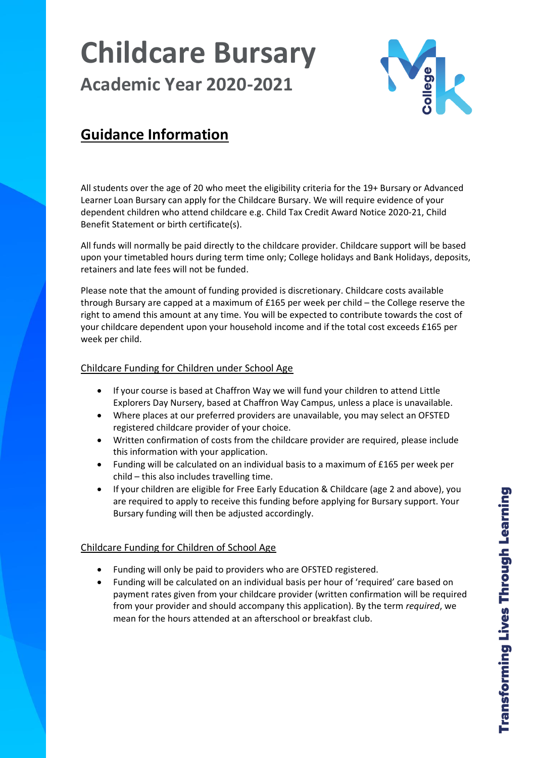# **Childcare Bursary Academic Year 2020-2021**



# **Guidance Information**

All students over the age of 20 who meet the eligibility criteria for the 19+ Bursary or Advanced Learner Loan Bursary can apply for the Childcare Bursary. We will require evidence of your dependent children who attend childcare e.g. Child Tax Credit Award Notice 2020-21, Child Benefit Statement or birth certificate(s).

All funds will normally be paid directly to the childcare provider. Childcare support will be based upon your timetabled hours during term time only; College holidays and Bank Holidays, deposits, retainers and late fees will not be funded.

Please note that the amount of funding provided is discretionary. Childcare costs available through Bursary are capped at a maximum of £165 per week per child – the College reserve the right to amend this amount at any time. You will be expected to contribute towards the cost of your childcare dependent upon your household income and if the total cost exceeds £165 per week per child.

# Childcare Funding for Children under School Age

- If your course is based at Chaffron Way we will fund your children to attend Little Explorers Day Nursery, based at Chaffron Way Campus, unless a place is unavailable.
- Where places at our preferred providers are unavailable, you may select an OFSTED registered childcare provider of your choice.
- Written confirmation of costs from the childcare provider are required, please include this information with your application.
- Funding will be calculated on an individual basis to a maximum of £165 per week per child – this also includes travelling time.
- If your children are eligible for Free Early Education & Childcare (age 2 and above), you are required to apply to receive this funding before applying for Bursary support. Your Bursary funding will then be adjusted accordingly.

## Childcare Funding for Children of School Age

- Funding will only be paid to providers who are OFSTED registered.
- Funding will be calculated on an individual basis per hour of 'required' care based on payment rates given from your childcare provider (written confirmation will be required from your provider and should accompany this application). By the term *required*, we mean for the hours attended at an afterschool or breakfast club.